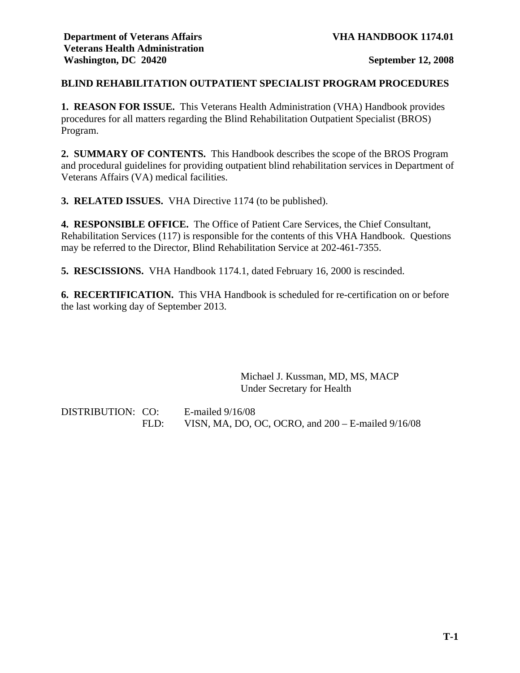## **BLIND REHABILITATION OUTPATIENT SPECIALIST PROGRAM PROCEDURES**

**1. REASON FOR ISSUE.** This Veterans Health Administration (VHA) Handbook provides procedures for all matters regarding the Blind Rehabilitation Outpatient Specialist (BROS) Program.

**2. SUMMARY OF CONTENTS.** This Handbook describes the scope of the BROS Program and procedural guidelines for providing outpatient blind rehabilitation services in Department of Veterans Affairs (VA) medical facilities.

**3. RELATED ISSUES.** VHA Directive 1174 (to be published).

**4. RESPONSIBLE OFFICE.** The Office of Patient Care Services, the Chief Consultant, Rehabilitation Services (117) is responsible for the contents of this VHA Handbook. Questions may be referred to the Director, Blind Rehabilitation Service at 202-461-7355.

**5. RESCISSIONS.** VHA Handbook 1174.1, dated February 16, 2000 is rescinded.

**6. RECERTIFICATION.** This VHA Handbook is scheduled for re-certification on or before the last working day of September 2013.

> Michael J. Kussman, MD, MS, MACP Under Secretary for Health

DISTRIBUTION: CO: E-mailed 9/16/08 FLD: VISN, MA, DO, OC, OCRO, and 200 – E-mailed 9/16/08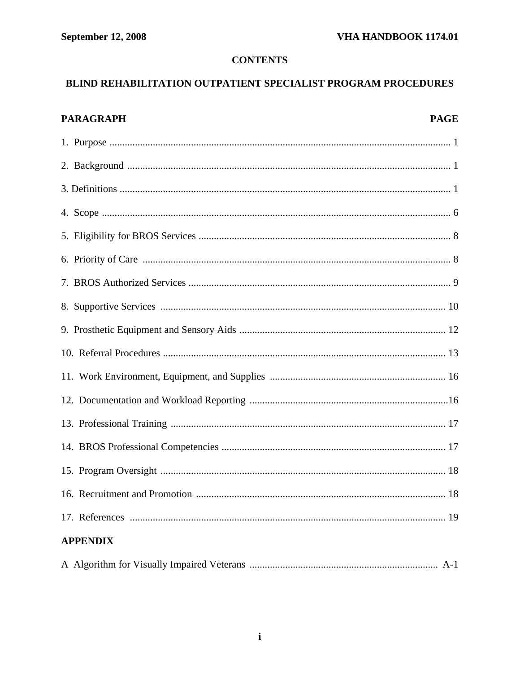# **CONTENTS**

# BLIND REHABILITATION OUTPATIENT SPECIALIST PROGRAM PROCEDURES

| <b>PARAGRAPH</b> | <b>PAGE</b> |
|------------------|-------------|
|                  |             |
|                  |             |
|                  |             |
|                  |             |
|                  |             |
|                  |             |
|                  |             |
|                  |             |
|                  |             |
|                  |             |
|                  |             |
|                  |             |
|                  |             |
|                  |             |
|                  |             |
|                  |             |
|                  |             |
| <b>APPENDIX</b>  |             |
|                  |             |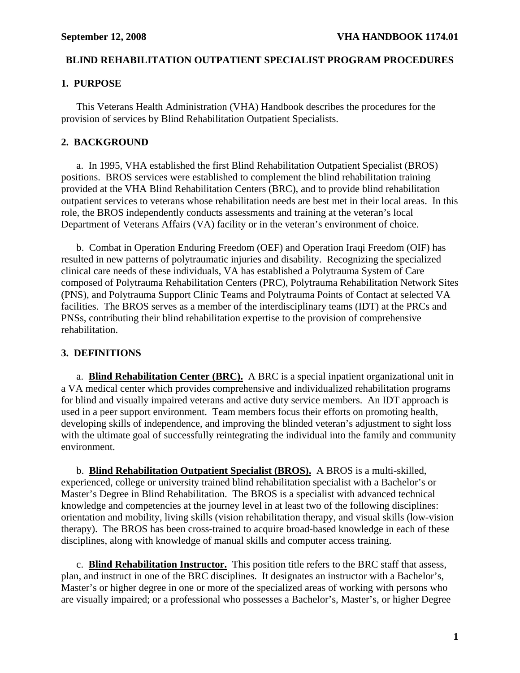## **BLIND REHABILITATION OUTPATIENT SPECIALIST PROGRAM PROCEDURES**

# **1. PURPOSE**

This Veterans Health Administration (VHA) Handbook describes the procedures for the provision of services by Blind Rehabilitation Outpatient Specialists.

# **2. BACKGROUND**

 a. In 1995, VHA established the first Blind Rehabilitation Outpatient Specialist (BROS) positions. BROS services were established to complement the blind rehabilitation training provided at the VHA Blind Rehabilitation Centers (BRC), and to provide blind rehabilitation outpatient services to veterans whose rehabilitation needs are best met in their local areas. In this role, the BROS independently conducts assessments and training at the veteran's local Department of Veterans Affairs (VA) facility or in the veteran's environment of choice.

 b. Combat in Operation Enduring Freedom (OEF) and Operation Iraqi Freedom (OIF) has resulted in new patterns of polytraumatic injuries and disability. Recognizing the specialized clinical care needs of these individuals, VA has established a Polytrauma System of Care composed of Polytrauma Rehabilitation Centers (PRC), Polytrauma Rehabilitation Network Sites (PNS), and Polytrauma Support Clinic Teams and Polytrauma Points of Contact at selected VA facilities. The BROS serves as a member of the interdisciplinary teams (IDT) at the PRCs and PNSs, contributing their blind rehabilitation expertise to the provision of comprehensive rehabilitation.

# **3. DEFINITIONS**

 a. **Blind Rehabilitation Center (BRC).** A BRC is a special inpatient organizational unit in a VA medical center which provides comprehensive and individualized rehabilitation programs for blind and visually impaired veterans and active duty service members. An IDT approach is used in a peer support environment. Team members focus their efforts on promoting health, developing skills of independence, and improving the blinded veteran's adjustment to sight loss with the ultimate goal of successfully reintegrating the individual into the family and community environment.

b. **Blind Rehabilitation Outpatient Specialist (BROS).** A BROS is a multi-skilled, experienced, college or university trained blind rehabilitation specialist with a Bachelor's or Master's Degree in Blind Rehabilitation. The BROS is a specialist with advanced technical knowledge and competencies at the journey level in at least two of the following disciplines: orientation and mobility, living skills (vision rehabilitation therapy, and visual skills (low-vision therapy). The BROS has been cross-trained to acquire broad-based knowledge in each of these disciplines, along with knowledge of manual skills and computer access training.

 c. **Blind Rehabilitation Instructor.** This position title refers to the BRC staff that assess, plan, and instruct in one of the BRC disciplines. It designates an instructor with a Bachelor's, Master's or higher degree in one or more of the specialized areas of working with persons who are visually impaired; or a professional who possesses a Bachelor's, Master's, or higher Degree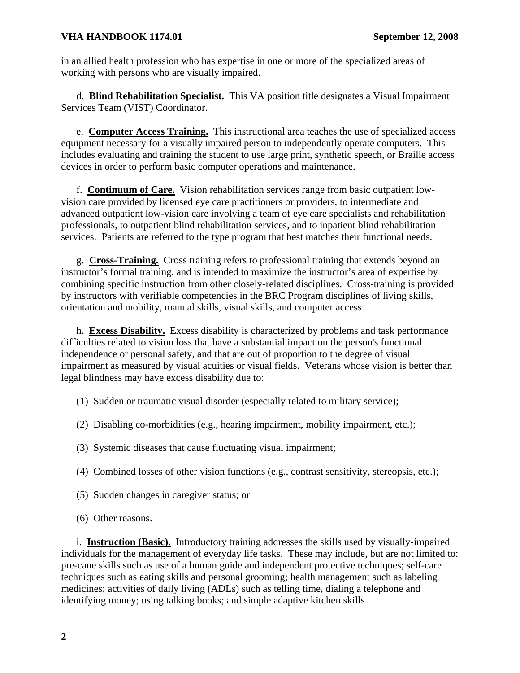in an allied health profession who has expertise in one or more of the specialized areas of working with persons who are visually impaired.

 d. **Blind Rehabilitation Specialist.** This VA position title designates a Visual Impairment Services Team (VIST) Coordinator.

 e. **Computer Access Training.** This instructional area teaches the use of specialized access equipment necessary for a visually impaired person to independently operate computers. This includes evaluating and training the student to use large print, synthetic speech, or Braille access devices in order to perform basic computer operations and maintenance.

 f. **Continuum of Care.** Vision rehabilitation services range from basic outpatient lowvision care provided by licensed eye care practitioners or providers, to intermediate and advanced outpatient low-vision care involving a team of eye care specialists and rehabilitation professionals, to outpatient blind rehabilitation services, and to inpatient blind rehabilitation services. Patients are referred to the type program that best matches their functional needs.

 g. **Cross-Training.** Cross training refers to professional training that extends beyond an instructor's formal training, and is intended to maximize the instructor's area of expertise by combining specific instruction from other closely-related disciplines. Cross-training is provided by instructors with verifiable competencies in the BRC Program disciplines of living skills, orientation and mobility, manual skills, visual skills, and computer access.

 h. **Excess Disability.** Excess disability is characterized by problems and task performance difficulties related to vision loss that have a substantial impact on the person's functional independence or personal safety, and that are out of proportion to the degree of visual impairment as measured by visual acuities or visual fields. Veterans whose vision is better than legal blindness may have excess disability due to:

- (1) Sudden or traumatic visual disorder (especially related to military service);
- (2) Disabling co-morbidities (e.g., hearing impairment, mobility impairment, etc.);
- (3) Systemic diseases that cause fluctuating visual impairment;
- (4) Combined losses of other vision functions (e.g., contrast sensitivity, stereopsis, etc.);
- (5) Sudden changes in caregiver status; or
- (6) Other reasons.

 i. **Instruction (Basic).** Introductory training addresses the skills used by visually-impaired individuals for the management of everyday life tasks. These may include, but are not limited to: pre-cane skills such as use of a human guide and independent protective techniques; self-care techniques such as eating skills and personal grooming; health management such as labeling medicines; activities of daily living (ADLs) such as telling time, dialing a telephone and identifying money; using talking books; and simple adaptive kitchen skills.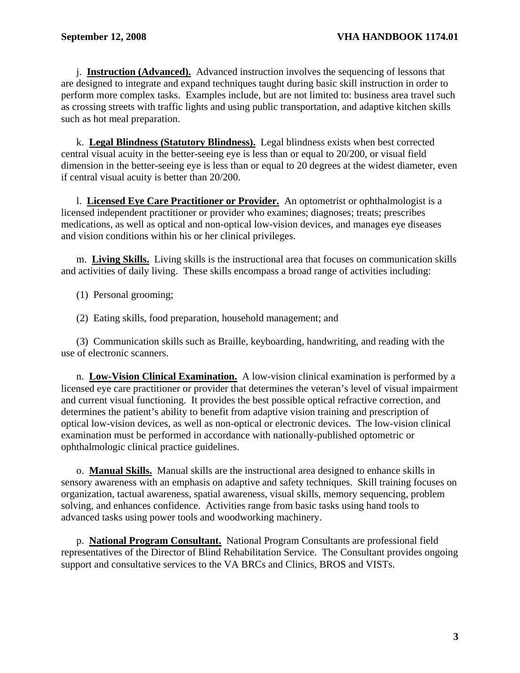j. **Instruction (Advanced).** Advanced instruction involves the sequencing of lessons that are designed to integrate and expand techniques taught during basic skill instruction in order to perform more complex tasks. Examples include, but are not limited to: business area travel such as crossing streets with traffic lights and using public transportation, and adaptive kitchen skills such as hot meal preparation.

 k. **Legal Blindness (Statutory Blindness).** Legal blindness exists when best corrected central visual acuity in the better-seeing eye is less than or equal to 20/200, or visual field dimension in the better-seeing eye is less than or equal to 20 degrees at the widest diameter, even if central visual acuity is better than 20/200.

 l. **Licensed Eye Care Practitioner or Provider.** An optometrist or ophthalmologist is a licensed independent practitioner or provider who examines; diagnoses; treats; prescribes medications, as well as optical and non-optical low-vision devices, and manages eye diseases and vision conditions within his or her clinical privileges.

 m. **Living Skills.** Living skills is the instructional area that focuses on communication skills and activities of daily living. These skills encompass a broad range of activities including:

(1) Personal grooming;

(2) Eating skills, food preparation, household management; and

 (3) Communication skills such as Braille, keyboarding, handwriting, and reading with the use of electronic scanners.

 n. **Low-Vision Clinical Examination.** A low-vision clinical examination is performed by a licensed eye care practitioner or provider that determines the veteran's level of visual impairment and current visual functioning. It provides the best possible optical refractive correction, and determines the patient's ability to benefit from adaptive vision training and prescription of optical low-vision devices, as well as non-optical or electronic devices. The low-vision clinical examination must be performed in accordance with nationally-published optometric or ophthalmologic clinical practice guidelines.

 o. **Manual Skills.** Manual skills are the instructional area designed to enhance skills in sensory awareness with an emphasis on adaptive and safety techniques. Skill training focuses on organization, tactual awareness, spatial awareness, visual skills, memory sequencing, problem solving, and enhances confidence. Activities range from basic tasks using hand tools to advanced tasks using power tools and woodworking machinery.

 p. **National Program Consultant.** National Program Consultants are professional field representatives of the Director of Blind Rehabilitation Service. The Consultant provides ongoing support and consultative services to the VA BRCs and Clinics, BROS and VISTs.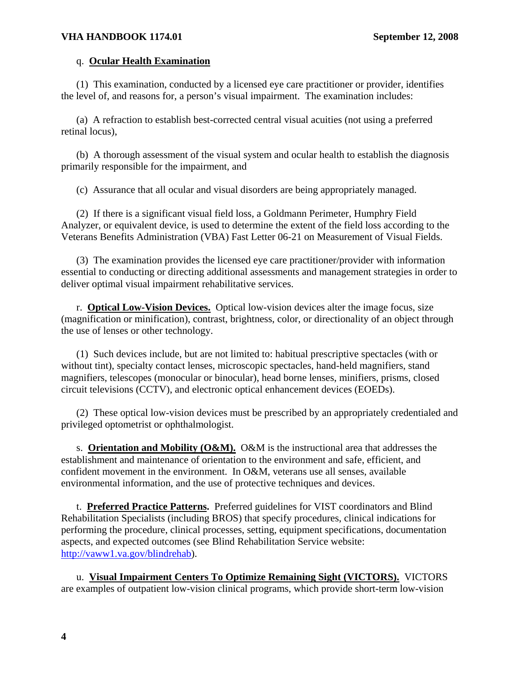### q. **Ocular Health Examination**

(1) This examination, conducted by a licensed eye care practitioner or provider, identifies the level of, and reasons for, a person's visual impairment. The examination includes:

 (a) A refraction to establish best-corrected central visual acuities (not using a preferred retinal locus),

 (b) A thorough assessment of the visual system and ocular health to establish the diagnosis primarily responsible for the impairment, and

(c) Assurance that all ocular and visual disorders are being appropriately managed.

 (2) If there is a significant visual field loss, a Goldmann Perimeter, Humphry Field Analyzer, or equivalent device, is used to determine the extent of the field loss according to the Veterans Benefits Administration (VBA) Fast Letter 06-21 on Measurement of Visual Fields.

 (3) The examination provides the licensed eye care practitioner/provider with information essential to conducting or directing additional assessments and management strategies in order to deliver optimal visual impairment rehabilitative services.

 r. **Optical Low-Vision Devices.** Optical low-vision devices alter the image focus, size (magnification or minification), contrast, brightness, color, or directionality of an object through the use of lenses or other technology.

 (1) Such devices include, but are not limited to: habitual prescriptive spectacles (with or without tint), specialty contact lenses, microscopic spectacles, hand-held magnifiers, stand magnifiers, telescopes (monocular or binocular), head borne lenses, minifiers, prisms, closed circuit televisions (CCTV), and electronic optical enhancement devices (EOEDs).

 (2) These optical low-vision devices must be prescribed by an appropriately credentialed and privileged optometrist or ophthalmologist.

 s. **Orientation and Mobility (O&M).** O&M is the instructional area that addresses the establishment and maintenance of orientation to the environment and safe, efficient, and confident movement in the environment. In O&M, veterans use all senses, available environmental information, and the use of protective techniques and devices.

 t. **Preferred Practice Patterns.** Preferred guidelines for VIST coordinators and Blind Rehabilitation Specialists (including BROS) that specify procedures, clinical indications for performing the procedure, clinical processes, setting, equipment specifications, documentation aspects, and expected outcomes (see Blind Rehabilitation Service website: <http://vaww1.va.gov/blindrehab>).

 u. **Visual Impairment Centers To Optimize Remaining Sight (VICTORS).** VICTORS are examples of outpatient low-vision clinical programs, which provide short-term low-vision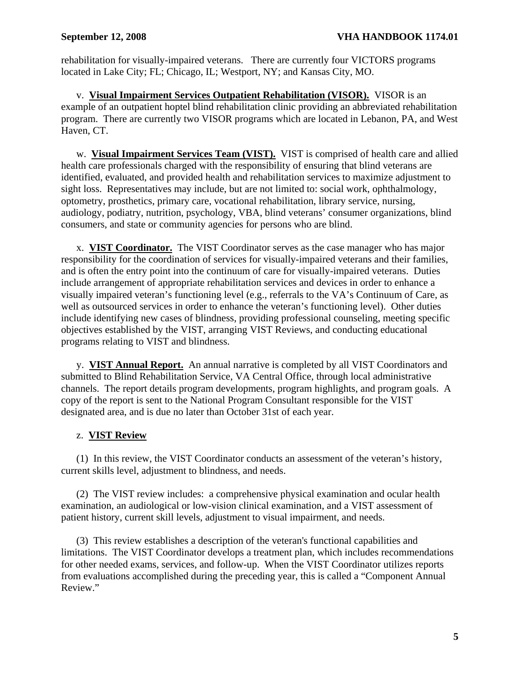rehabilitation for visually-impaired veterans. There are currently four VICTORS programs located in Lake City; FL; Chicago, IL; Westport, NY; and Kansas City, MO.

 v. **Visual Impairment Services Outpatient Rehabilitation (VISOR).** VISOR is an example of an outpatient hoptel blind rehabilitation clinic providing an abbreviated rehabilitation program. There are currently two VISOR programs which are located in Lebanon, PA, and West Haven, CT.

 w. **Visual Impairment Services Team (VIST).** VIST is comprised of health care and allied health care professionals charged with the responsibility of ensuring that blind veterans are identified, evaluated, and provided health and rehabilitation services to maximize adjustment to sight loss. Representatives may include, but are not limited to: social work, ophthalmology, optometry, prosthetics, primary care, vocational rehabilitation, library service, nursing, audiology, podiatry, nutrition, psychology, VBA, blind veterans' consumer organizations, blind consumers, and state or community agencies for persons who are blind.

 x. **VIST Coordinator.** The VIST Coordinator serves as the case manager who has major responsibility for the coordination of services for visually-impaired veterans and their families, and is often the entry point into the continuum of care for visually-impaired veterans. Duties include arrangement of appropriate rehabilitation services and devices in order to enhance a visually impaired veteran's functioning level (e.g., referrals to the VA's Continuum of Care, as well as outsourced services in order to enhance the veteran's functioning level). Other duties include identifying new cases of blindness, providing professional counseling, meeting specific objectives established by the VIST, arranging VIST Reviews, and conducting educational programs relating to VIST and blindness.

 y. **VIST Annual Report.** An annual narrative is completed by all VIST Coordinators and submitted to Blind Rehabilitation Service, VA Central Office, through local administrative channels. The report details program developments, program highlights, and program goals. A copy of the report is sent to the National Program Consultant responsible for the VIST designated area, and is due no later than October 31st of each year.

# z. **VIST Review**

 (1) In this review, the VIST Coordinator conducts an assessment of the veteran's history, current skills level, adjustment to blindness, and needs.

 (2) The VIST review includes: a comprehensive physical examination and ocular health examination, an audiological or low-vision clinical examination, and a VIST assessment of patient history, current skill levels, adjustment to visual impairment, and needs.

 (3) This review establishes a description of the veteran's functional capabilities and limitations. The VIST Coordinator develops a treatment plan, which includes recommendations for other needed exams, services, and follow-up. When the VIST Coordinator utilizes reports from evaluations accomplished during the preceding year, this is called a "Component Annual Review."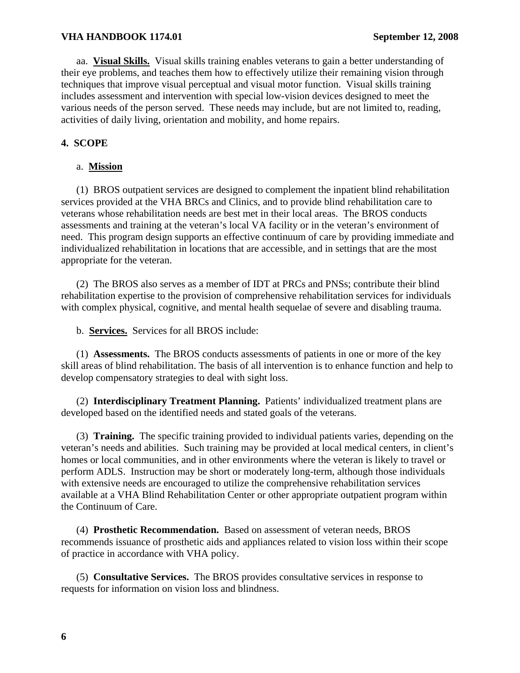aa. **Visual Skills.** Visual skills training enables veterans to gain a better understanding of their eye problems, and teaches them how to effectively utilize their remaining vision through techniques that improve visual perceptual and visual motor function. Visual skills training includes assessment and intervention with special low-vision devices designed to meet the various needs of the person served. These needs may include, but are not limited to, reading, activities of daily living, orientation and mobility, and home repairs.

# **4. SCOPE**

## a. **Mission**

 (1) BROS outpatient services are designed to complement the inpatient blind rehabilitation services provided at the VHA BRCs and Clinics, and to provide blind rehabilitation care to veterans whose rehabilitation needs are best met in their local areas. The BROS conducts assessments and training at the veteran's local VA facility or in the veteran's environment of need. This program design supports an effective continuum of care by providing immediate and individualized rehabilitation in locations that are accessible, and in settings that are the most appropriate for the veteran.

 (2) The BROS also serves as a member of IDT at PRCs and PNSs; contribute their blind rehabilitation expertise to the provision of comprehensive rehabilitation services for individuals with complex physical, cognitive, and mental health sequelae of severe and disabling trauma.

b. **Services.** Services for all BROS include:

 (1) **Assessments.** The BROS conducts assessments of patients in one or more of the key skill areas of blind rehabilitation. The basis of all intervention is to enhance function and help to develop compensatory strategies to deal with sight loss.

 (2) **Interdisciplinary Treatment Planning.** Patients' individualized treatment plans are developed based on the identified needs and stated goals of the veterans.

 (3) **Training.** The specific training provided to individual patients varies, depending on the veteran's needs and abilities. Such training may be provided at local medical centers, in client's homes or local communities, and in other environments where the veteran is likely to travel or perform ADLS. Instruction may be short or moderately long-term, although those individuals with extensive needs are encouraged to utilize the comprehensive rehabilitation services available at a VHA Blind Rehabilitation Center or other appropriate outpatient program within the Continuum of Care.

 (4) **Prosthetic Recommendation.** Based on assessment of veteran needs, BROS recommends issuance of prosthetic aids and appliances related to vision loss within their scope of practice in accordance with VHA policy.

 (5) **Consultative Services.** The BROS provides consultative services in response to requests for information on vision loss and blindness.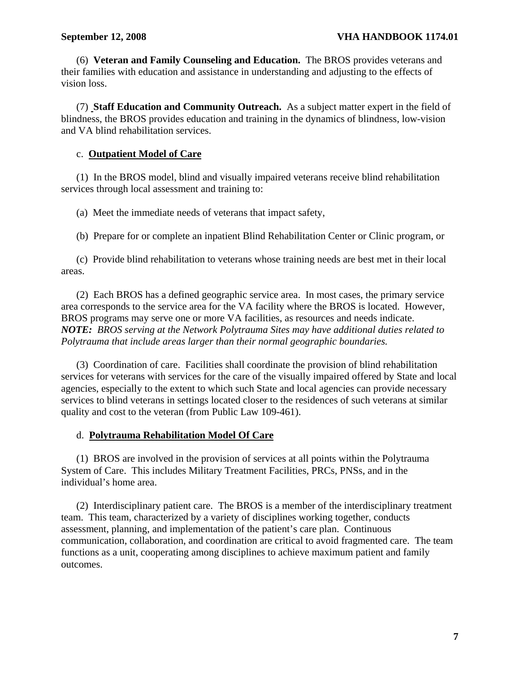(6) **Veteran and Family Counseling and Education.** The BROS provides veterans and their families with education and assistance in understanding and adjusting to the effects of vision loss.

 (7) **Staff Education and Community Outreach.** As a subject matter expert in the field of blindness, the BROS provides education and training in the dynamics of blindness, low-vision and VA blind rehabilitation services.

# c. **Outpatient Model of Care**

 (1) In the BROS model, blind and visually impaired veterans receive blind rehabilitation services through local assessment and training to:

(a) Meet the immediate needs of veterans that impact safety,

(b) Prepare for or complete an inpatient Blind Rehabilitation Center or Clinic program, or

 (c) Provide blind rehabilitation to veterans whose training needs are best met in their local areas.

 (2) Each BROS has a defined geographic service area. In most cases, the primary service area corresponds to the service area for the VA facility where the BROS is located. However, BROS programs may serve one or more VA facilities, as resources and needs indicate. *NOTE: BROS serving at the Network Polytrauma Sites may have additional duties related to Polytrauma that include areas larger than their normal geographic boundaries.* 

 (3) Coordination of care. Facilities shall coordinate the provision of blind rehabilitation services for veterans with services for the care of the visually impaired offered by State and local agencies, especially to the extent to which such State and local agencies can provide necessary services to blind veterans in settings located closer to the residences of such veterans at similar quality and cost to the veteran (from Public Law 109-461).

#### d. **Polytrauma Rehabilitation Model Of Care**

(1) BROS are involved in the provision of services at all points within the Polytrauma System of Care. This includes Military Treatment Facilities, PRCs, PNSs, and in the individual's home area.

 (2) Interdisciplinary patient care. The BROS is a member of the interdisciplinary treatment team. This team, characterized by a variety of disciplines working together, conducts assessment, planning, and implementation of the patient's care plan. Continuous communication, collaboration, and coordination are critical to avoid fragmented care. The team functions as a unit, cooperating among disciplines to achieve maximum patient and family outcomes.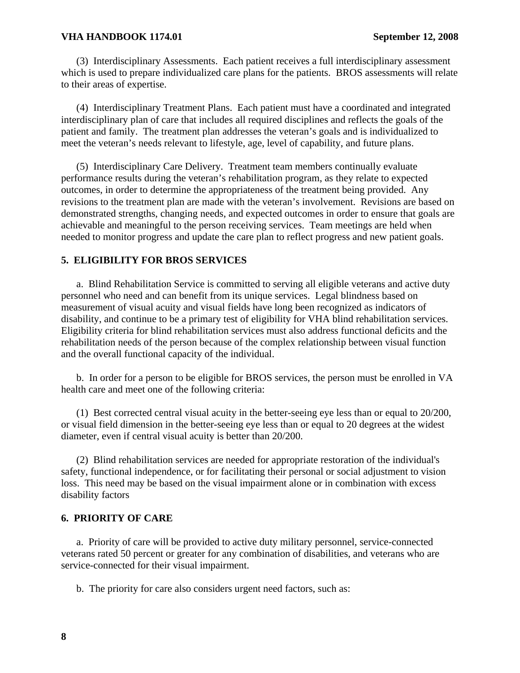(3) Interdisciplinary Assessments. Each patient receives a full interdisciplinary assessment which is used to prepare individualized care plans for the patients. BROS assessments will relate to their areas of expertise.

 (4) Interdisciplinary Treatment Plans. Each patient must have a coordinated and integrated interdisciplinary plan of care that includes all required disciplines and reflects the goals of the patient and family. The treatment plan addresses the veteran's goals and is individualized to meet the veteran's needs relevant to lifestyle, age, level of capability, and future plans.

 (5) Interdisciplinary Care Delivery. Treatment team members continually evaluate performance results during the veteran's rehabilitation program, as they relate to expected outcomes, in order to determine the appropriateness of the treatment being provided. Any revisions to the treatment plan are made with the veteran's involvement. Revisions are based on demonstrated strengths, changing needs, and expected outcomes in order to ensure that goals are achievable and meaningful to the person receiving services. Team meetings are held when needed to monitor progress and update the care plan to reflect progress and new patient goals.

#### **5. ELIGIBILITY FOR BROS SERVICES**

 a. Blind Rehabilitation Service is committed to serving all eligible veterans and active duty personnel who need and can benefit from its unique services. Legal blindness based on measurement of visual acuity and visual fields have long been recognized as indicators of disability, and continue to be a primary test of eligibility for VHA blind rehabilitation services. Eligibility criteria for blind rehabilitation services must also address functional deficits and the rehabilitation needs of the person because of the complex relationship between visual function and the overall functional capacity of the individual.

 b. In order for a person to be eligible for BROS services, the person must be enrolled in VA health care and meet one of the following criteria:

 (1) Best corrected central visual acuity in the better-seeing eye less than or equal to 20/200, or visual field dimension in the better-seeing eye less than or equal to 20 degrees at the widest diameter, even if central visual acuity is better than 20/200.

 (2) Blind rehabilitation services are needed for appropriate restoration of the individual's safety, functional independence, or for facilitating their personal or social adjustment to vision loss. This need may be based on the visual impairment alone or in combination with excess disability factors

#### **6. PRIORITY OF CARE**

 a. Priority of care will be provided to active duty military personnel, service-connected veterans rated 50 percent or greater for any combination of disabilities, and veterans who are service-connected for their visual impairment.

b. The priority for care also considers urgent need factors, such as: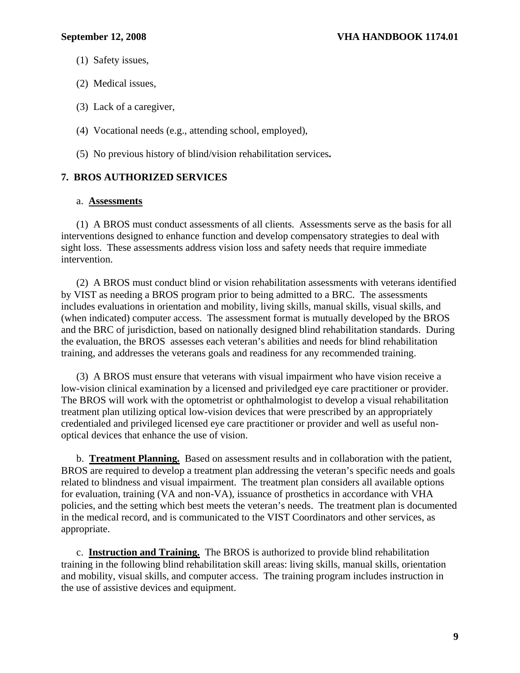- (1) Safety issues,
- (2) Medical issues,
- (3) Lack of a caregiver,
- (4) Vocational needs (e.g., attending school, employed),
- (5) No previous history of blind/vision rehabilitation services**.**

# **7. BROS AUTHORIZED SERVICES**

#### a. **Assessments**

 (1) A BROS must conduct assessments of all clients. Assessments serve as the basis for all interventions designed to enhance function and develop compensatory strategies to deal with sight loss. These assessments address vision loss and safety needs that require immediate intervention.

 (2) A BROS must conduct blind or vision rehabilitation assessments with veterans identified by VIST as needing a BROS program prior to being admitted to a BRC. The assessments includes evaluations in orientation and mobility, living skills, manual skills, visual skills, and (when indicated) computer access. The assessment format is mutually developed by the BROS and the BRC of jurisdiction, based on nationally designed blind rehabilitation standards. During the evaluation, the BROS assesses each veteran's abilities and needs for blind rehabilitation training, and addresses the veterans goals and readiness for any recommended training.

 (3) A BROS must ensure that veterans with visual impairment who have vision receive a low-vision clinical examination by a licensed and priviledged eye care practitioner or provider. The BROS will work with the optometrist or ophthalmologist to develop a visual rehabilitation treatment plan utilizing optical low-vision devices that were prescribed by an appropriately credentialed and privileged licensed eye care practitioner or provider and well as useful nonoptical devices that enhance the use of vision.

 b. **Treatment Planning.** Based on assessment results and in collaboration with the patient, BROS are required to develop a treatment plan addressing the veteran's specific needs and goals related to blindness and visual impairment. The treatment plan considers all available options for evaluation, training (VA and non-VA), issuance of prosthetics in accordance with VHA policies, and the setting which best meets the veteran's needs. The treatment plan is documented in the medical record, and is communicated to the VIST Coordinators and other services, as appropriate.

 c. **Instruction and Training.** The BROS is authorized to provide blind rehabilitation training in the following blind rehabilitation skill areas: living skills, manual skills, orientation and mobility, visual skills, and computer access. The training program includes instruction in the use of assistive devices and equipment.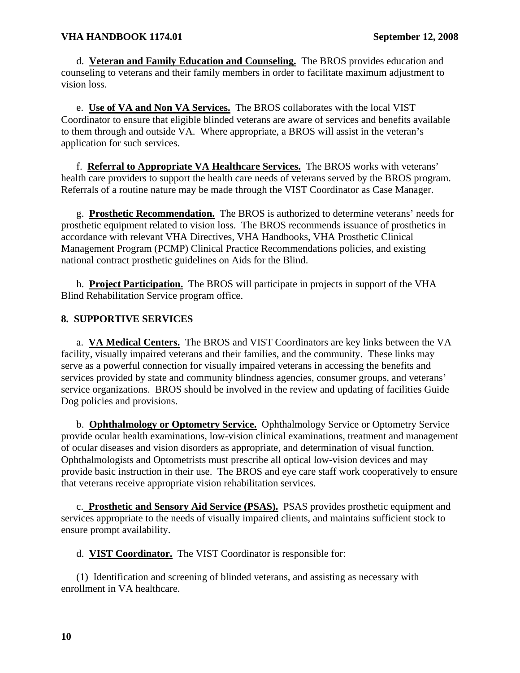d. **Veteran and Family Education and Counseling.** The BROS provides education and counseling to veterans and their family members in order to facilitate maximum adjustment to vision loss.

e. **Use of VA and Non VA Services.** The BROS collaborates with the local VIST Coordinator to ensure that eligible blinded veterans are aware of services and benefits available to them through and outside VA. Where appropriate, a BROS will assist in the veteran's application for such services.

f. **Referral to Appropriate VA Healthcare Services.** The BROS works with veterans' health care providers to support the health care needs of veterans served by the BROS program. Referrals of a routine nature may be made through the VIST Coordinator as Case Manager.

g. **Prosthetic Recommendation.** The BROS is authorized to determine veterans' needs for prosthetic equipment related to vision loss. The BROS recommends issuance of prosthetics in accordance with relevant VHA Directives, VHA Handbooks, VHA Prosthetic Clinical Management Program (PCMP) Clinical Practice Recommendations policies, and existing national contract prosthetic guidelines on Aids for the Blind.

h. **Project Participation.** The BROS will participate in projects in support of the VHA Blind Rehabilitation Service program office.

# **8. SUPPORTIVE SERVICES**

 a. **VA Medical Centers.** The BROS and VIST Coordinators are key links between the VA facility, visually impaired veterans and their families, and the community. These links may serve as a powerful connection for visually impaired veterans in accessing the benefits and services provided by state and community blindness agencies, consumer groups, and veterans' service organizations. BROS should be involved in the review and updating of facilities Guide Dog policies and provisions.

 b. **Ophthalmology or Optometry Service.** Ophthalmology Service or Optometry Service provide ocular health examinations, low-vision clinical examinations, treatment and management of ocular diseases and vision disorders as appropriate, and determination of visual function. Ophthalmologists and Optometrists must prescribe all optical low-vision devices and may provide basic instruction in their use. The BROS and eye care staff work cooperatively to ensure that veterans receive appropriate vision rehabilitation services.

 c. **Prosthetic and Sensory Aid Service (PSAS).** PSAS provides prosthetic equipment and services appropriate to the needs of visually impaired clients, and maintains sufficient stock to ensure prompt availability.

d. **VIST Coordinator.** The VIST Coordinator is responsible for:

 (1) Identification and screening of blinded veterans, and assisting as necessary with enrollment in VA healthcare.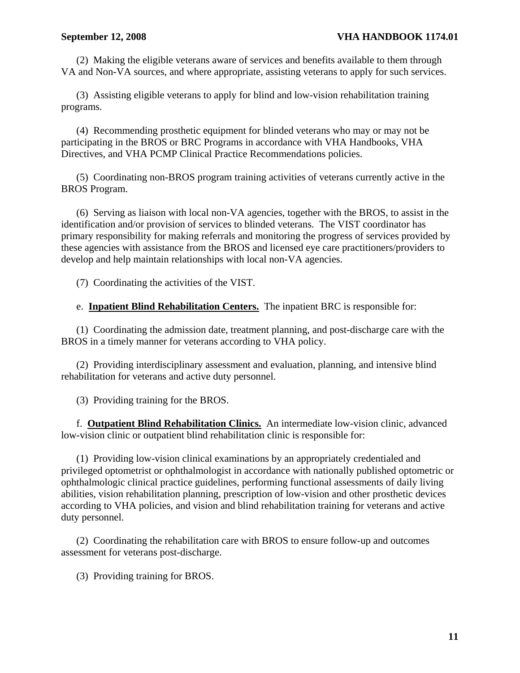(2) Making the eligible veterans aware of services and benefits available to them through VA and Non-VA sources, and where appropriate, assisting veterans to apply for such services.

 (3) Assisting eligible veterans to apply for blind and low-vision rehabilitation training programs.

 (4) Recommending prosthetic equipment for blinded veterans who may or may not be participating in the BROS or BRC Programs in accordance with VHA Handbooks, VHA Directives, and VHA PCMP Clinical Practice Recommendations policies.

 (5) Coordinating non-BROS program training activities of veterans currently active in the BROS Program.

 (6) Serving as liaison with local non-VA agencies, together with the BROS, to assist in the identification and/or provision of services to blinded veterans. The VIST coordinator has primary responsibility for making referrals and monitoring the progress of services provided by these agencies with assistance from the BROS and licensed eye care practitioners/providers to develop and help maintain relationships with local non-VA agencies.

(7) Coordinating the activities of the VIST.

e. **Inpatient Blind Rehabilitation Centers.** The inpatient BRC is responsible for:

 (1) Coordinating the admission date, treatment planning, and post-discharge care with the BROS in a timely manner for veterans according to VHA policy.

 (2) Providing interdisciplinary assessment and evaluation, planning, and intensive blind rehabilitation for veterans and active duty personnel.

(3) Providing training for the BROS.

 f. **Outpatient Blind Rehabilitation Clinics.** An intermediate low-vision clinic, advanced low-vision clinic or outpatient blind rehabilitation clinic is responsible for:

 (1) Providing low-vision clinical examinations by an appropriately credentialed and privileged optometrist or ophthalmologist in accordance with nationally published optometric or ophthalmologic clinical practice guidelines, performing functional assessments of daily living abilities, vision rehabilitation planning, prescription of low-vision and other prosthetic devices according to VHA policies, and vision and blind rehabilitation training for veterans and active duty personnel.

 (2) Coordinating the rehabilitation care with BROS to ensure follow-up and outcomes assessment for veterans post-discharge.

(3) Providing training for BROS.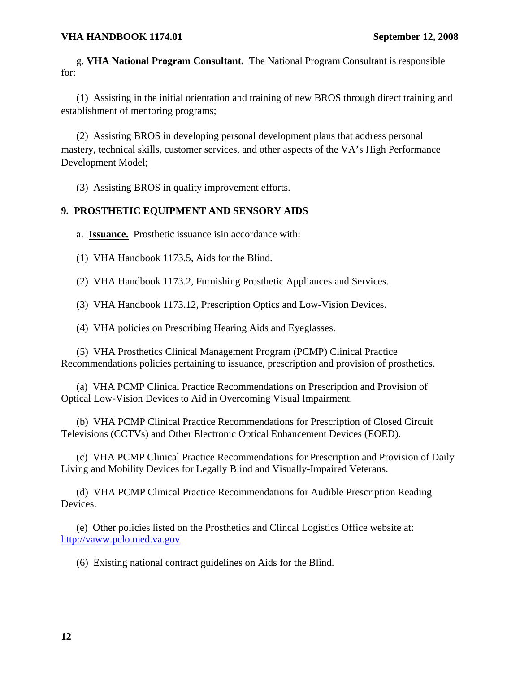g. **VHA National Program Consultant.** The National Program Consultant is responsible for:

 (1) Assisting in the initial orientation and training of new BROS through direct training and establishment of mentoring programs;

 (2) Assisting BROS in developing personal development plans that address personal mastery, technical skills, customer services, and other aspects of the VA's High Performance Development Model;

(3) Assisting BROS in quality improvement efforts.

# **9. PROSTHETIC EQUIPMENT AND SENSORY AIDS**

a. **Issuance.** Prosthetic issuance isin accordance with:

(1) VHA Handbook 1173.5, Aids for the Blind.

(2) VHA Handbook 1173.2, Furnishing Prosthetic Appliances and Services.

(3) VHA Handbook 1173.12, Prescription Optics and Low-Vision Devices.

(4) VHA policies on Prescribing Hearing Aids and Eyeglasses.

 (5) VHA Prosthetics Clinical Management Program (PCMP) Clinical Practice Recommendations policies pertaining to issuance, prescription and provision of prosthetics.

 (a) VHA PCMP Clinical Practice Recommendations on Prescription and Provision of Optical Low-Vision Devices to Aid in Overcoming Visual Impairment.

 (b) VHA PCMP Clinical Practice Recommendations for Prescription of Closed Circuit Televisions (CCTVs) and Other Electronic Optical Enhancement Devices (EOED).

 (c) VHA PCMP Clinical Practice Recommendations for Prescription and Provision of Daily Living and Mobility Devices for Legally Blind and Visually-Impaired Veterans.

 (d) VHA PCMP Clinical Practice Recommendations for Audible Prescription Reading Devices.

 (e) Other policies listed on the Prosthetics and Clincal Logistics Office website at: [http://vaww.pclo.med.va.gov](http://vaww.pclo.med.va.gov/)

(6) Existing national contract guidelines on Aids for the Blind.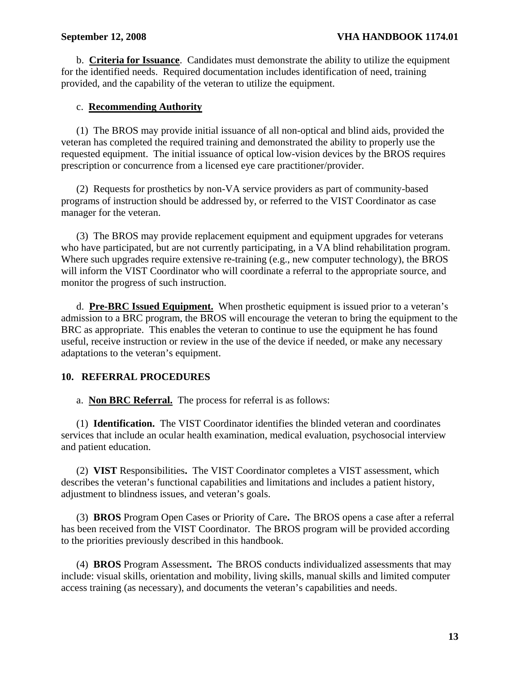b. **Criteria for Issuance**. Candidates must demonstrate the ability to utilize the equipment for the identified needs. Required documentation includes identification of need, training provided, and the capability of the veteran to utilize the equipment.

# c. **Recommending Authority**

 (1) The BROS may provide initial issuance of all non-optical and blind aids, provided the veteran has completed the required training and demonstrated the ability to properly use the requested equipment. The initial issuance of optical low-vision devices by the BROS requires prescription or concurrence from a licensed eye care practitioner/provider.

 (2) Requests for prosthetics by non-VA service providers as part of community-based programs of instruction should be addressed by, or referred to the VIST Coordinator as case manager for the veteran.

 (3) The BROS may provide replacement equipment and equipment upgrades for veterans who have participated, but are not currently participating, in a VA blind rehabilitation program. Where such upgrades require extensive re-training (e.g., new computer technology), the BROS will inform the VIST Coordinator who will coordinate a referral to the appropriate source, and monitor the progress of such instruction.

 d. **Pre-BRC Issued Equipment.** When prosthetic equipment is issued prior to a veteran's admission to a BRC program, the BROS will encourage the veteran to bring the equipment to the BRC as appropriate. This enables the veteran to continue to use the equipment he has found useful, receive instruction or review in the use of the device if needed, or make any necessary adaptations to the veteran's equipment.

# **10. REFERRAL PROCEDURES**

a. **Non BRC Referral.** The process for referral is as follows:

 (1) **Identification.** The VIST Coordinator identifies the blinded veteran and coordinates services that include an ocular health examination, medical evaluation, psychosocial interview and patient education.

 (2) **VIST** Responsibilities**.** The VIST Coordinator completes a VIST assessment, which describes the veteran's functional capabilities and limitations and includes a patient history, adjustment to blindness issues, and veteran's goals.

 (3) **BROS** Program Open Cases or Priority of Care**.** The BROS opens a case after a referral has been received from the VIST Coordinator. The BROS program will be provided according to the priorities previously described in this handbook.

 (4) **BROS** Program Assessment**.** The BROS conducts individualized assessments that may include: visual skills, orientation and mobility, living skills, manual skills and limited computer access training (as necessary), and documents the veteran's capabilities and needs.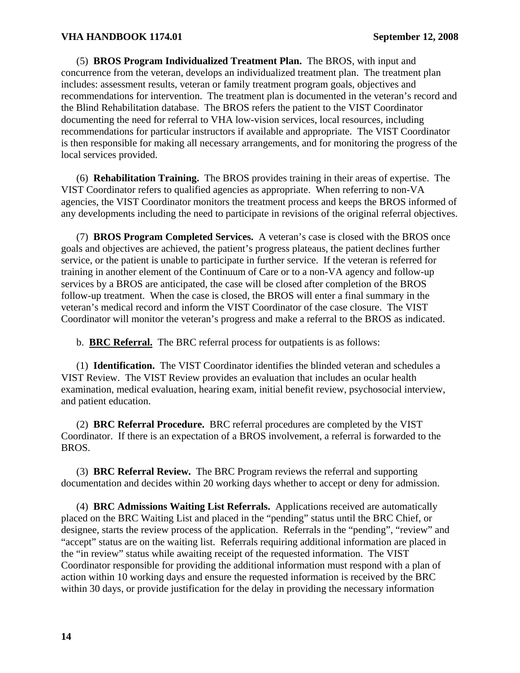(5) **BROS Program Individualized Treatment Plan.** The BROS, with input and concurrence from the veteran, develops an individualized treatment plan. The treatment plan includes: assessment results, veteran or family treatment program goals, objectives and recommendations for intervention. The treatment plan is documented in the veteran's record and the Blind Rehabilitation database. The BROS refers the patient to the VIST Coordinator documenting the need for referral to VHA low-vision services, local resources, including recommendations for particular instructors if available and appropriate. The VIST Coordinator is then responsible for making all necessary arrangements, and for monitoring the progress of the local services provided.

(6) **Rehabilitation Training.** The BROS provides training in their areas of expertise. The VIST Coordinator refers to qualified agencies as appropriate. When referring to non-VA agencies, the VIST Coordinator monitors the treatment process and keeps the BROS informed of any developments including the need to participate in revisions of the original referral objectives.

 (7) **BROS Program Completed Services.** A veteran's case is closed with the BROS once goals and objectives are achieved, the patient's progress plateaus, the patient declines further service, or the patient is unable to participate in further service. If the veteran is referred for training in another element of the Continuum of Care or to a non-VA agency and follow-up services by a BROS are anticipated, the case will be closed after completion of the BROS follow-up treatment. When the case is closed, the BROS will enter a final summary in the veteran's medical record and inform the VIST Coordinator of the case closure. The VIST Coordinator will monitor the veteran's progress and make a referral to the BROS as indicated.

b. **BRC Referral.** The BRC referral process for outpatients is as follows:

 (1) **Identification.** The VIST Coordinator identifies the blinded veteran and schedules a VIST Review. The VIST Review provides an evaluation that includes an ocular health examination, medical evaluation, hearing exam, initial benefit review, psychosocial interview, and patient education.

 (2) **BRC Referral Procedure.** BRC referral procedures are completed by the VIST Coordinator. If there is an expectation of a BROS involvement, a referral is forwarded to the BROS.

(3) **BRC Referral Review.** The BRC Program reviews the referral and supporting documentation and decides within 20 working days whether to accept or deny for admission.

 (4) **BRC Admissions Waiting List Referrals.** Applications received are automatically placed on the BRC Waiting List and placed in the "pending" status until the BRC Chief, or designee, starts the review process of the application. Referrals in the "pending", "review" and "accept" status are on the waiting list. Referrals requiring additional information are placed in the "in review" status while awaiting receipt of the requested information. The VIST Coordinator responsible for providing the additional information must respond with a plan of action within 10 working days and ensure the requested information is received by the BRC within 30 days, or provide justification for the delay in providing the necessary information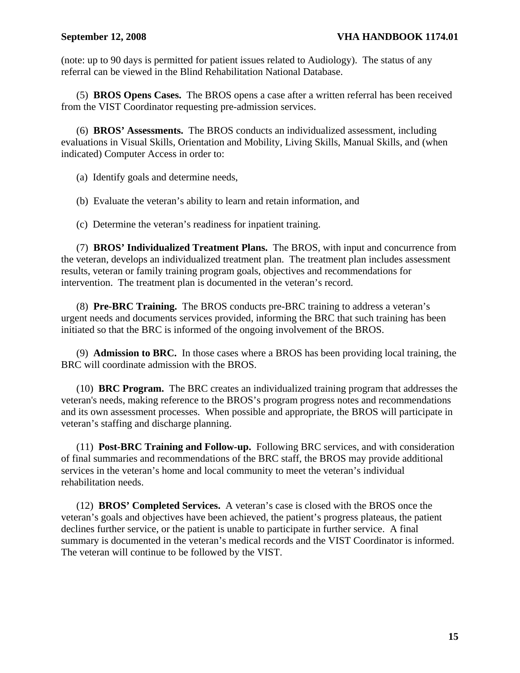(note: up to 90 days is permitted for patient issues related to Audiology). The status of any referral can be viewed in the Blind Rehabilitation National Database.

 (5) **BROS Opens Cases.** The BROS opens a case after a written referral has been received from the VIST Coordinator requesting pre-admission services.

 (6) **BROS' Assessments.** The BROS conducts an individualized assessment, including evaluations in Visual Skills, Orientation and Mobility, Living Skills, Manual Skills, and (when indicated) Computer Access in order to:

(a) Identify goals and determine needs,

(b) Evaluate the veteran's ability to learn and retain information, and

(c) Determine the veteran's readiness for inpatient training.

 (7) **BROS' Individualized Treatment Plans.** The BROS, with input and concurrence from the veteran, develops an individualized treatment plan. The treatment plan includes assessment results, veteran or family training program goals, objectives and recommendations for intervention. The treatment plan is documented in the veteran's record.

 (8) **Pre-BRC Training.** The BROS conducts pre-BRC training to address a veteran's urgent needs and documents services provided, informing the BRC that such training has been initiated so that the BRC is informed of the ongoing involvement of the BROS.

 (9) **Admission to BRC.** In those cases where a BROS has been providing local training, the BRC will coordinate admission with the BROS.

(10) **BRC Program.** The BRC creates an individualized training program that addresses the veteran's needs, making reference to the BROS's program progress notes and recommendations and its own assessment processes. When possible and appropriate, the BROS will participate in veteran's staffing and discharge planning.

 (11) **Post-BRC Training and Follow-up.** Following BRC services, and with consideration of final summaries and recommendations of the BRC staff, the BROS may provide additional services in the veteran's home and local community to meet the veteran's individual rehabilitation needs.

 (12) **BROS' Completed Services.** A veteran's case is closed with the BROS once the veteran's goals and objectives have been achieved, the patient's progress plateaus, the patient declines further service, or the patient is unable to participate in further service. A final summary is documented in the veteran's medical records and the VIST Coordinator is informed. The veteran will continue to be followed by the VIST.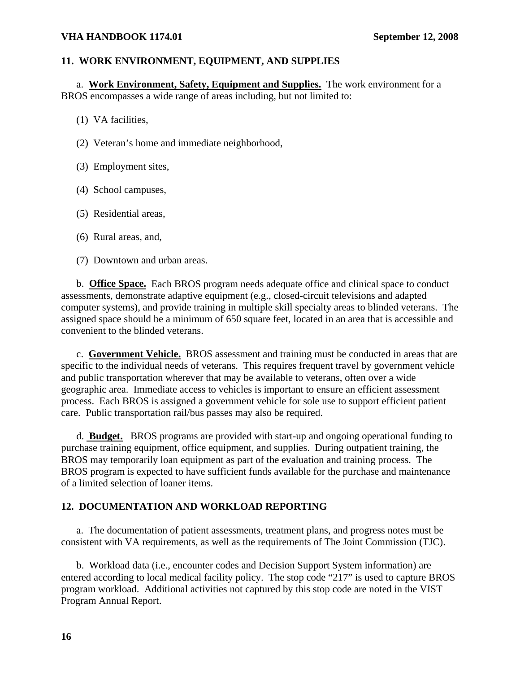# **11. WORK ENVIRONMENT, EQUIPMENT, AND SUPPLIES**

a. **Work Environment, Safety, Equipment and Supplies.** The work environment for a BROS encompasses a wide range of areas including, but not limited to:

- (1) VA facilities,
- (2) Veteran's home and immediate neighborhood,
- (3) Employment sites,
- (4) School campuses,
- (5) Residential areas,
- (6) Rural areas, and,
- (7) Downtown and urban areas.

 b. **Office Space.** Each BROS program needs adequate office and clinical space to conduct assessments, demonstrate adaptive equipment (e.g., closed-circuit televisions and adapted computer systems), and provide training in multiple skill specialty areas to blinded veterans. The assigned space should be a minimum of 650 square feet, located in an area that is accessible and convenient to the blinded veterans.

 c. **Government Vehicle.** BROS assessment and training must be conducted in areas that are specific to the individual needs of veterans. This requires frequent travel by government vehicle and public transportation wherever that may be available to veterans, often over a wide geographic area. Immediate access to vehicles is important to ensure an efficient assessment process. Each BROS is assigned a government vehicle for sole use to support efficient patient care. Public transportation rail/bus passes may also be required.

d. **Budget.** BROS programs are provided with start-up and ongoing operational funding to purchase training equipment, office equipment, and supplies. During outpatient training, the BROS may temporarily loan equipment as part of the evaluation and training process. The BROS program is expected to have sufficient funds available for the purchase and maintenance of a limited selection of loaner items.

#### **12. DOCUMENTATION AND WORKLOAD REPORTING**

 a. The documentation of patient assessments, treatment plans, and progress notes must be consistent with VA requirements, as well as the requirements of The Joint Commission (TJC).

 b. Workload data (i.e., encounter codes and Decision Support System information) are entered according to local medical facility policy. The stop code "217" is used to capture BROS program workload. Additional activities not captured by this stop code are noted in the VIST Program Annual Report.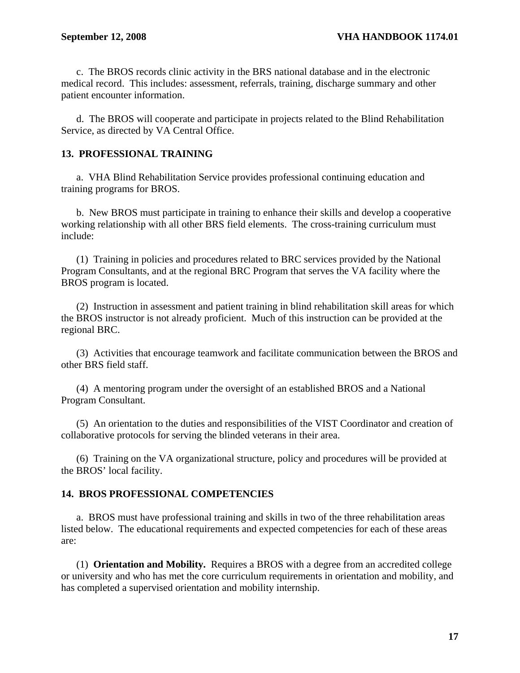c. The BROS records clinic activity in the BRS national database and in the electronic medical record. This includes: assessment, referrals, training, discharge summary and other patient encounter information.

d. The BROS will cooperate and participate in projects related to the Blind Rehabilitation Service, as directed by VA Central Office.

# **13. PROFESSIONAL TRAINING**

a. VHA Blind Rehabilitation Service provides professional continuing education and training programs for BROS.

b. New BROS must participate in training to enhance their skills and develop a cooperative working relationship with all other BRS field elements. The cross-training curriculum must include:

 (1) Training in policies and procedures related to BRC services provided by the National Program Consultants, and at the regional BRC Program that serves the VA facility where the BROS program is located.

 (2) Instruction in assessment and patient training in blind rehabilitation skill areas for which the BROS instructor is not already proficient. Much of this instruction can be provided at the regional BRC.

 (3) Activities that encourage teamwork and facilitate communication between the BROS and other BRS field staff.

 (4) A mentoring program under the oversight of an established BROS and a National Program Consultant.

 (5) An orientation to the duties and responsibilities of the VIST Coordinator and creation of collaborative protocols for serving the blinded veterans in their area.

 (6) Training on the VA organizational structure, policy and procedures will be provided at the BROS' local facility.

#### **14. BROS PROFESSIONAL COMPETENCIES**

 a. BROS must have professional training and skills in two of the three rehabilitation areas listed below. The educational requirements and expected competencies for each of these areas are:

 (1) **Orientation and Mobility.** Requires a BROS with a degree from an accredited college or university and who has met the core curriculum requirements in orientation and mobility, and has completed a supervised orientation and mobility internship.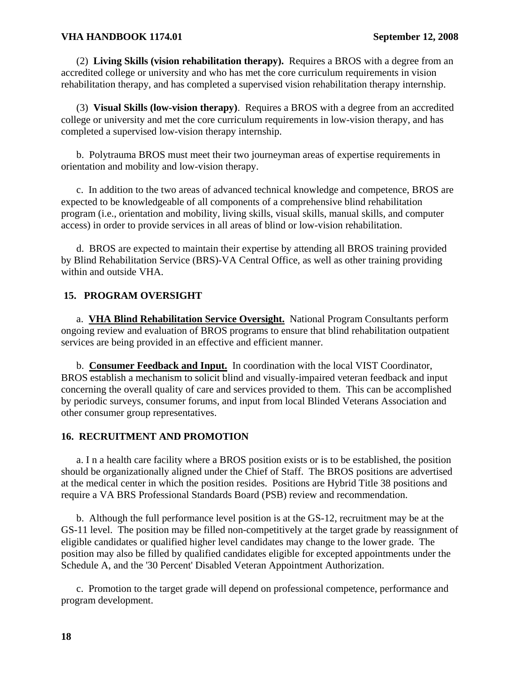(2) **Living Skills (vision rehabilitation therapy).** Requires a BROS with a degree from an accredited college or university and who has met the core curriculum requirements in vision rehabilitation therapy, and has completed a supervised vision rehabilitation therapy internship.

 (3) **Visual Skills (low-vision therapy)**. Requires a BROS with a degree from an accredited college or university and met the core curriculum requirements in low-vision therapy, and has completed a supervised low-vision therapy internship.

 b. Polytrauma BROS must meet their two journeyman areas of expertise requirements in orientation and mobility and low-vision therapy.

 c. In addition to the two areas of advanced technical knowledge and competence, BROS are expected to be knowledgeable of all components of a comprehensive blind rehabilitation program (i.e., orientation and mobility, living skills, visual skills, manual skills, and computer access) in order to provide services in all areas of blind or low-vision rehabilitation.

 d. BROS are expected to maintain their expertise by attending all BROS training provided by Blind Rehabilitation Service (BRS)-VA Central Office, as well as other training providing within and outside VHA.

#### **15. PROGRAM OVERSIGHT**

a. **VHA Blind Rehabilitation Service Oversight.** National Program Consultants perform ongoing review and evaluation of BROS programs to ensure that blind rehabilitation outpatient services are being provided in an effective and efficient manner.

b. **Consumer Feedback and Input.** In coordination with the local VIST Coordinator, BROS establish a mechanism to solicit blind and visually-impaired veteran feedback and input concerning the overall quality of care and services provided to them. This can be accomplished by periodic surveys, consumer forums, and input from local Blinded Veterans Association and other consumer group representatives.

#### **16. RECRUITMENT AND PROMOTION**

 a. I n a health care facility where a BROS position exists or is to be established, the position should be organizationally aligned under the Chief of Staff. The BROS positions are advertised at the medical center in which the position resides. Positions are Hybrid Title 38 positions and require a VA BRS Professional Standards Board (PSB) review and recommendation.

 b. Although the full performance level position is at the GS-12, recruitment may be at the GS-11 level. The position may be filled non-competitively at the target grade by reassignment of eligible candidates or qualified higher level candidates may change to the lower grade. The position may also be filled by qualified candidates eligible for excepted appointments under the Schedule A, and the '30 Percent' Disabled Veteran Appointment Authorization.

 c. Promotion to the target grade will depend on professional competence, performance and program development.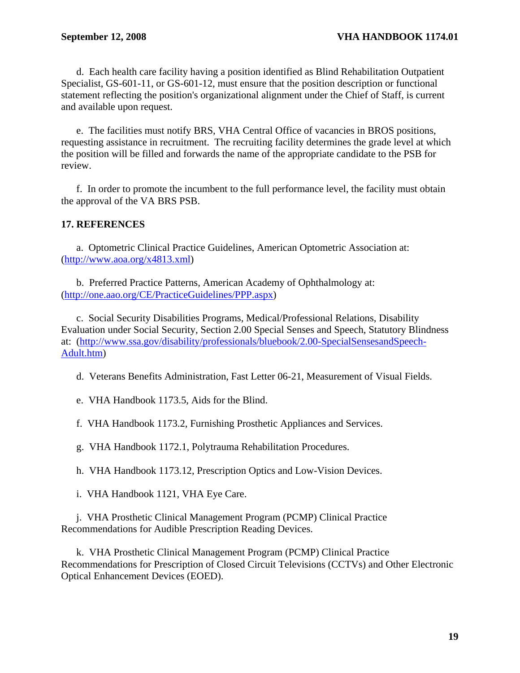d. Each health care facility having a position identified as Blind Rehabilitation Outpatient Specialist, GS-601-11, or GS-601-12, must ensure that the position description or functional statement reflecting the position's organizational alignment under the Chief of Staff, is current and available upon request.

 e. The facilities must notify BRS, VHA Central Office of vacancies in BROS positions, requesting assistance in recruitment. The recruiting facility determines the grade level at which the position will be filled and forwards the name of the appropriate candidate to the PSB for review.

 f. In order to promote the incumbent to the full performance level, the facility must obtain the approval of the VA BRS PSB.

# **17. REFERENCES**

 a. Optometric Clinical Practice Guidelines, American Optometric Association at: (<http://www.aoa.org/x4813.xml>)

 b. Preferred Practice Patterns, American Academy of Ophthalmology at: ([http://one.aao.org/CE/PracticeGuidelines/PPP.aspx\)](http://one.aao.org/CE/PracticeGuidelines/PPP.aspx)

 c. Social Security Disabilities Programs, Medical/Professional Relations, Disability Evaluation under Social Security, Section 2.00 Special Senses and Speech, Statutory Blindness at: [\(http://www.ssa.gov/disability/professionals/bluebook/2.00-SpecialSensesandSpeech-](http://www.ssa.gov/disability/professionals/bluebook/2.00-SpecialSensesandSpeech-Adult.htm)[Adult.htm\)](http://www.ssa.gov/disability/professionals/bluebook/2.00-SpecialSensesandSpeech-Adult.htm)

d. Veterans Benefits Administration, Fast Letter 06-21, Measurement of Visual Fields.

e. VHA Handbook 1173.5, Aids for the Blind.

f. VHA Handbook 1173.2, Furnishing Prosthetic Appliances and Services.

g. VHA Handbook 1172.1, Polytrauma Rehabilitation Procedures.

h. VHA Handbook 1173.12, Prescription Optics and Low-Vision Devices.

i. VHA Handbook 1121, VHA Eye Care.

 j. VHA Prosthetic Clinical Management Program (PCMP) Clinical Practice Recommendations for Audible Prescription Reading Devices.

 k. VHA Prosthetic Clinical Management Program (PCMP) Clinical Practice Recommendations for Prescription of Closed Circuit Televisions (CCTVs) and Other Electronic Optical Enhancement Devices (EOED).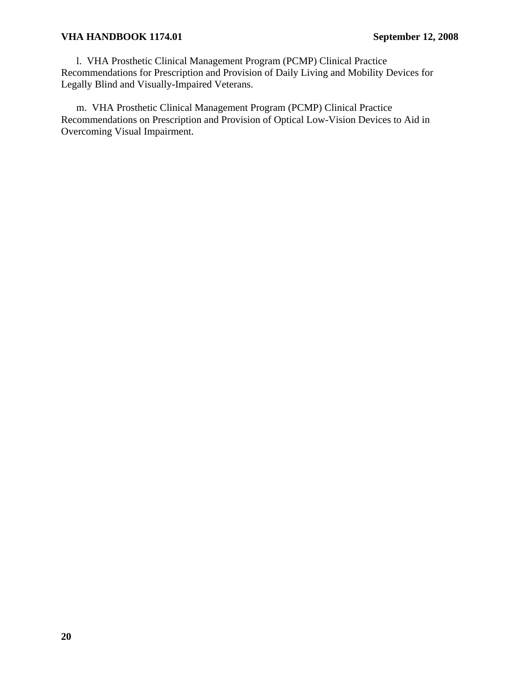l. VHA Prosthetic Clinical Management Program (PCMP) Clinical Practice Recommendations for Prescription and Provision of Daily Living and Mobility Devices for Legally Blind and Visually-Impaired Veterans.

 m. VHA Prosthetic Clinical Management Program (PCMP) Clinical Practice Recommendations on Prescription and Provision of Optical Low-Vision Devices to Aid in Overcoming Visual Impairment.